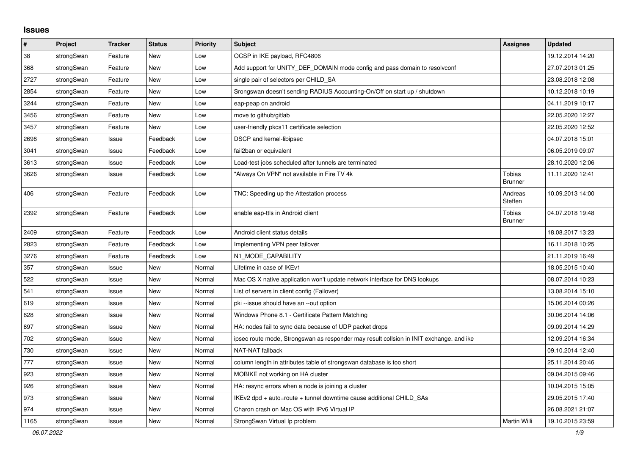## **Issues**

| #    | Project    | <b>Tracker</b> | <b>Status</b> | <b>Priority</b> | <b>Subject</b>                                                                          | Assignee                        | <b>Updated</b>   |
|------|------------|----------------|---------------|-----------------|-----------------------------------------------------------------------------------------|---------------------------------|------------------|
| 38   | strongSwan | Feature        | <b>New</b>    | Low             | OCSP in IKE payload, RFC4806                                                            |                                 | 19.12.2014 14:20 |
| 368  | strongSwan | Feature        | <b>New</b>    | Low             | Add support for UNITY DEF DOMAIN mode config and pass domain to resolveonf              |                                 | 27.07.2013 01:25 |
| 2727 | strongSwan | Feature        | <b>New</b>    | Low             | single pair of selectors per CHILD_SA                                                   |                                 | 23.08.2018 12:08 |
| 2854 | strongSwan | Feature        | New           | Low             | Srongswan doesn't sending RADIUS Accounting-On/Off on start up / shutdown               |                                 | 10.12.2018 10:19 |
| 3244 | strongSwan | Feature        | New           | Low             | eap-peap on android                                                                     |                                 | 04.11.2019 10:17 |
| 3456 | strongSwan | Feature        | New           | Low             | move to github/gitlab                                                                   |                                 | 22.05.2020 12:27 |
| 3457 | strongSwan | Feature        | New           | Low             | user-friendly pkcs11 certificate selection                                              |                                 | 22.05.2020 12:52 |
| 2698 | strongSwan | Issue          | Feedback      | Low             | DSCP and kernel-libipsec                                                                |                                 | 04.07.2018 15:01 |
| 3041 | strongSwan | Issue          | Feedback      | Low             | fail2ban or equivalent                                                                  |                                 | 06.05.2019 09:07 |
| 3613 | strongSwan | Issue          | Feedback      | Low             | Load-test jobs scheduled after tunnels are terminated                                   |                                 | 28.10.2020 12:06 |
| 3626 | strongSwan | Issue          | Feedback      | Low             | "Always On VPN" not available in Fire TV 4k                                             | Tobias<br><b>Brunner</b>        | 11.11.2020 12:41 |
| 406  | strongSwan | Feature        | Feedback      | Low             | TNC: Speeding up the Attestation process                                                | Andreas<br>Steffen              | 10.09.2013 14:00 |
| 2392 | strongSwan | Feature        | Feedback      | Low             | enable eap-ttls in Android client                                                       | <b>Tobias</b><br><b>Brunner</b> | 04.07.2018 19:48 |
| 2409 | strongSwan | Feature        | Feedback      | Low             | Android client status details                                                           |                                 | 18.08.2017 13:23 |
| 2823 | strongSwan | Feature        | Feedback      | Low             | Implementing VPN peer failover                                                          |                                 | 16.11.2018 10:25 |
| 3276 | strongSwan | Feature        | Feedback      | Low             | N1_MODE_CAPABILITY                                                                      |                                 | 21.11.2019 16:49 |
| 357  | strongSwan | Issue          | New           | Normal          | Lifetime in case of IKEv1                                                               |                                 | 18.05.2015 10:40 |
| 522  | strongSwan | Issue          | <b>New</b>    | Normal          | Mac OS X native application won't update network interface for DNS lookups              |                                 | 08.07.2014 10:23 |
| 541  | strongSwan | Issue          | New           | Normal          | List of servers in client config (Failover)                                             |                                 | 13.08.2014 15:10 |
| 619  | strongSwan | Issue          | <b>New</b>    | Normal          | pki --issue should have an --out option                                                 |                                 | 15.06.2014 00:26 |
| 628  | strongSwan | Issue          | <b>New</b>    | Normal          | Windows Phone 8.1 - Certificate Pattern Matching                                        |                                 | 30.06.2014 14:06 |
| 697  | strongSwan | Issue          | New           | Normal          | HA: nodes fail to sync data because of UDP packet drops                                 |                                 | 09.09.2014 14:29 |
| 702  | strongSwan | Issue          | <b>New</b>    | Normal          | ipsec route mode, Strongswan as responder may result collsion in INIT exchange. and ike |                                 | 12.09.2014 16:34 |
| 730  | strongSwan | Issue          | New           | Normal          | NAT-NAT fallback                                                                        |                                 | 09.10.2014 12:40 |
| 777  | strongSwan | Issue          | <b>New</b>    | Normal          | column length in attributes table of strongswan database is too short                   |                                 | 25.11.2014 20:46 |
| 923  | strongSwan | Issue          | <b>New</b>    | Normal          | MOBIKE not working on HA cluster                                                        |                                 | 09.04.2015 09:46 |
| 926  | strongSwan | Issue          | <b>New</b>    | Normal          | HA: resync errors when a node is joining a cluster                                      |                                 | 10.04.2015 15:05 |
| 973  | strongSwan | Issue          | New           | Normal          | IKEv2 dpd + auto=route + tunnel downtime cause additional CHILD_SAs                     |                                 | 29.05.2015 17:40 |
| 974  | strongSwan | Issue          | New           | Normal          | Charon crash on Mac OS with IPv6 Virtual IP                                             |                                 | 26.08.2021 21:07 |
| 1165 | strongSwan | Issue          | New           | Normal          | StrongSwan Virtual Ip problem                                                           | Martin Willi                    | 19.10.2015 23:59 |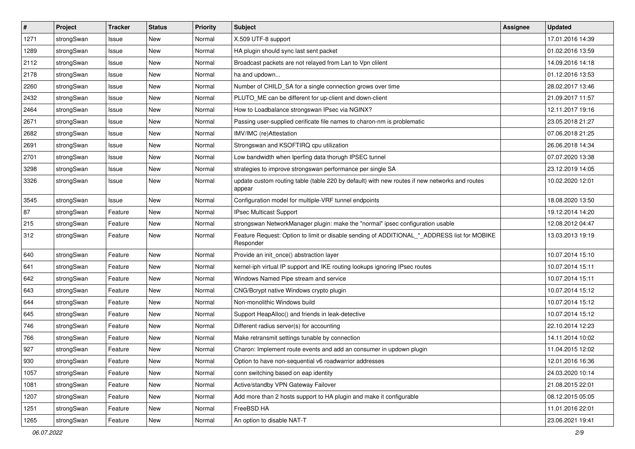| #    | Project    | <b>Tracker</b> | <b>Status</b> | <b>Priority</b> | <b>Subject</b>                                                                                           | <b>Assignee</b> | <b>Updated</b>   |
|------|------------|----------------|---------------|-----------------|----------------------------------------------------------------------------------------------------------|-----------------|------------------|
| 1271 | strongSwan | Issue          | New           | Normal          | X.509 UTF-8 support                                                                                      |                 | 17.01.2016 14:39 |
| 1289 | strongSwan | Issue          | <b>New</b>    | Normal          | HA plugin should sync last sent packet                                                                   |                 | 01.02.2016 13:59 |
| 2112 | strongSwan | Issue          | New           | Normal          | Broadcast packets are not relayed from Lan to Vpn clilent                                                |                 | 14.09.2016 14:18 |
| 2178 | strongSwan | Issue          | New           | Normal          | ha and updown                                                                                            |                 | 01.12.2016 13:53 |
| 2260 | strongSwan | Issue          | <b>New</b>    | Normal          | Number of CHILD_SA for a single connection grows over time                                               |                 | 28.02.2017 13:46 |
| 2432 | strongSwan | Issue          | New           | Normal          | PLUTO_ME can be different for up-client and down-client                                                  |                 | 21.09.2017 11:57 |
| 2464 | strongSwan | Issue          | New           | Normal          | How to Loadbalance strongswan IPsec via NGINX?                                                           |                 | 12.11.2017 19:16 |
| 2671 | strongSwan | Issue          | New           | Normal          | Passing user-supplied cerificate file names to charon-nm is problematic                                  |                 | 23.05.2018 21:27 |
| 2682 | strongSwan | Issue          | <b>New</b>    | Normal          | IMV/IMC (re)Attestation                                                                                  |                 | 07.06.2018 21:25 |
| 2691 | strongSwan | Issue          | <b>New</b>    | Normal          | Strongswan and KSOFTIRQ cpu utilization                                                                  |                 | 26.06.2018 14:34 |
| 2701 | strongSwan | Issue          | New           | Normal          | Low bandwidth when Iperfing data thorugh IPSEC tunnel                                                    |                 | 07.07.2020 13:38 |
| 3298 | strongSwan | Issue          | New           | Normal          | strategies to improve strongswan performance per single SA                                               |                 | 23.12.2019 14:05 |
| 3326 | strongSwan | Issue          | New           | Normal          | update custom routing table (table 220 by default) with new routes if new networks and routes<br>appear  |                 | 10.02.2020 12:01 |
| 3545 | strongSwan | Issue          | <b>New</b>    | Normal          | Configuration model for multiple-VRF tunnel endpoints                                                    |                 | 18.08.2020 13:50 |
| 87   | strongSwan | Feature        | New           | Normal          | <b>IPsec Multicast Support</b>                                                                           |                 | 19.12.2014 14:20 |
| 215  | strongSwan | Feature        | New           | Normal          | strongswan NetworkManager plugin: make the "normal" ipsec configuration usable                           |                 | 12.08.2012 04:47 |
| 312  | strongSwan | Feature        | <b>New</b>    | Normal          | Feature Request: Option to limit or disable sending of ADDITIONAL_*_ADDRESS list for MOBIKE<br>Responder |                 | 13.03.2013 19:19 |
| 640  | strongSwan | Feature        | New           | Normal          | Provide an init once() abstraction layer                                                                 |                 | 10.07.2014 15:10 |
| 641  | strongSwan | Feature        | <b>New</b>    | Normal          | kernel-iph virtual IP support and IKE routing lookups ignoring IPsec routes                              |                 | 10.07.2014 15:11 |
| 642  | strongSwan | Feature        | New           | Normal          | Windows Named Pipe stream and service                                                                    |                 | 10.07.2014 15:11 |
| 643  | strongSwan | Feature        | New           | Normal          | CNG/Bcrypt native Windows crypto plugin                                                                  |                 | 10.07.2014 15:12 |
| 644  | strongSwan | Feature        | New           | Normal          | Non-monolithic Windows build                                                                             |                 | 10.07.2014 15:12 |
| 645  | strongSwan | Feature        | New           | Normal          | Support HeapAlloc() and friends in leak-detective                                                        |                 | 10.07.2014 15:12 |
| 746  | strongSwan | Feature        | <b>New</b>    | Normal          | Different radius server(s) for accounting                                                                |                 | 22.10.2014 12:23 |
| 766  | strongSwan | Feature        | New           | Normal          | Make retransmit settings tunable by connection                                                           |                 | 14.11.2014 10:02 |
| 927  | strongSwan | Feature        | New           | Normal          | Charon: Implement route events and add an consumer in updown plugin                                      |                 | 11.04.2015 12:02 |
| 930  | strongSwan | Feature        | New           | Normal          | Option to have non-sequential v6 roadwarrior addresses                                                   |                 | 12.01.2016 16:36 |
| 1057 | strongSwan | Feature        | New           | Normal          | conn switching based on eap identity                                                                     |                 | 24.03.2020 10:14 |
| 1081 | strongSwan | Feature        | New           | Normal          | Active/standby VPN Gateway Failover                                                                      |                 | 21.08.2015 22:01 |
| 1207 | strongSwan | Feature        | New           | Normal          | Add more than 2 hosts support to HA plugin and make it configurable                                      |                 | 08.12.2015 05:05 |
| 1251 | strongSwan | Feature        | New           | Normal          | FreeBSD HA                                                                                               |                 | 11.01.2016 22:01 |
| 1265 | strongSwan | Feature        | New           | Normal          | An option to disable NAT-T                                                                               |                 | 23.06.2021 19:41 |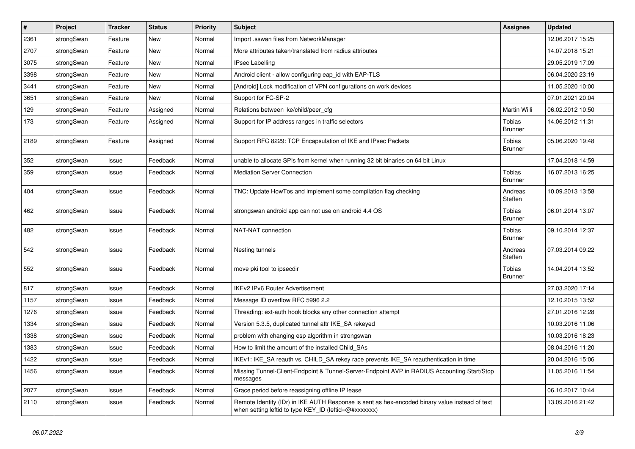| $\vert$ # | Project    | <b>Tracker</b> | <b>Status</b> | <b>Priority</b> | <b>Subject</b>                                                                                                                                          | <b>Assignee</b>                 | <b>Updated</b>   |
|-----------|------------|----------------|---------------|-----------------|---------------------------------------------------------------------------------------------------------------------------------------------------------|---------------------------------|------------------|
| 2361      | strongSwan | Feature        | <b>New</b>    | Normal          | Import .sswan files from NetworkManager                                                                                                                 |                                 | 12.06.2017 15:25 |
| 2707      | strongSwan | Feature        | <b>New</b>    | Normal          | More attributes taken/translated from radius attributes                                                                                                 |                                 | 14.07.2018 15:21 |
| 3075      | strongSwan | Feature        | New           | Normal          | <b>IPsec Labelling</b>                                                                                                                                  |                                 | 29.05.2019 17:09 |
| 3398      | strongSwan | Feature        | New           | Normal          | Android client - allow configuring eap_id with EAP-TLS                                                                                                  |                                 | 06.04.2020 23:19 |
| 3441      | strongSwan | Feature        | New           | Normal          | [Android] Lock modification of VPN configurations on work devices                                                                                       |                                 | 11.05.2020 10:00 |
| 3651      | strongSwan | Feature        | New           | Normal          | Support for FC-SP-2                                                                                                                                     |                                 | 07.01.2021 20:04 |
| 129       | strongSwan | Feature        | Assigned      | Normal          | Relations between ike/child/peer_cfg                                                                                                                    | Martin Willi                    | 06.02.2012 10:50 |
| 173       | strongSwan | Feature        | Assigned      | Normal          | Support for IP address ranges in traffic selectors                                                                                                      | Tobias<br><b>Brunner</b>        | 14.06.2012 11:31 |
| 2189      | strongSwan | Feature        | Assigned      | Normal          | Support RFC 8229: TCP Encapsulation of IKE and IPsec Packets                                                                                            | Tobias<br><b>Brunner</b>        | 05.06.2020 19:48 |
| 352       | strongSwan | Issue          | Feedback      | Normal          | unable to allocate SPIs from kernel when running 32 bit binaries on 64 bit Linux                                                                        |                                 | 17.04.2018 14:59 |
| 359       | strongSwan | Issue          | Feedback      | Normal          | <b>Mediation Server Connection</b>                                                                                                                      | <b>Tobias</b><br><b>Brunner</b> | 16.07.2013 16:25 |
| 404       | strongSwan | Issue          | Feedback      | Normal          | TNC: Update HowTos and implement some compilation flag checking                                                                                         | Andreas<br>Steffen              | 10.09.2013 13:58 |
| 462       | strongSwan | Issue          | Feedback      | Normal          | strongswan android app can not use on android 4.4 OS                                                                                                    | Tobias<br><b>Brunner</b>        | 06.01.2014 13:07 |
| 482       | strongSwan | Issue          | Feedback      | Normal          | NAT-NAT connection                                                                                                                                      | <b>Tobias</b><br><b>Brunner</b> | 09.10.2014 12:37 |
| 542       | strongSwan | Issue          | Feedback      | Normal          | Nesting tunnels                                                                                                                                         | Andreas<br>Steffen              | 07.03.2014 09:22 |
| 552       | strongSwan | Issue          | Feedback      | Normal          | move pki tool to ipsecdir                                                                                                                               | Tobias<br><b>Brunner</b>        | 14.04.2014 13:52 |
| 817       | strongSwan | Issue          | Feedback      | Normal          | IKEv2 IPv6 Router Advertisement                                                                                                                         |                                 | 27.03.2020 17:14 |
| 1157      | strongSwan | Issue          | Feedback      | Normal          | Message ID overflow RFC 5996 2.2                                                                                                                        |                                 | 12.10.2015 13:52 |
| 1276      | strongSwan | Issue          | Feedback      | Normal          | Threading: ext-auth hook blocks any other connection attempt                                                                                            |                                 | 27.01.2016 12:28 |
| 1334      | strongSwan | Issue          | Feedback      | Normal          | Version 5.3.5, duplicated tunnel aftr IKE_SA rekeyed                                                                                                    |                                 | 10.03.2016 11:06 |
| 1338      | strongSwan | Issue          | Feedback      | Normal          | problem with changing esp algorithm in strongswan                                                                                                       |                                 | 10.03.2016 18:23 |
| 1383      | strongSwan | Issue          | Feedback      | Normal          | How to limit the amount of the installed Child_SAs                                                                                                      |                                 | 08.04.2016 11:20 |
| 1422      | strongSwan | Issue          | Feedback      | Normal          | IKEv1: IKE_SA reauth vs. CHILD_SA rekey race prevents IKE_SA reauthentication in time                                                                   |                                 | 20.04.2016 15:06 |
| 1456      | strongSwan | Issue          | Feedback      | Normal          | Missing Tunnel-Client-Endpoint & Tunnel-Server-Endpoint AVP in RADIUS Accounting Start/Stop<br>messages                                                 |                                 | 11.05.2016 11:54 |
| 2077      | strongSwan | Issue          | Feedback      | Normal          | Grace period before reassigning offline IP lease                                                                                                        |                                 | 06.10.2017 10:44 |
| 2110      | strongSwan | Issue          | Feedback      | Normal          | Remote Identity (IDr) in IKE AUTH Response is sent as hex-encoded binary value instead of text<br>when setting leftid to type KEY_ID (leftid=@#xxxxxxx) |                                 | 13.09.2016 21:42 |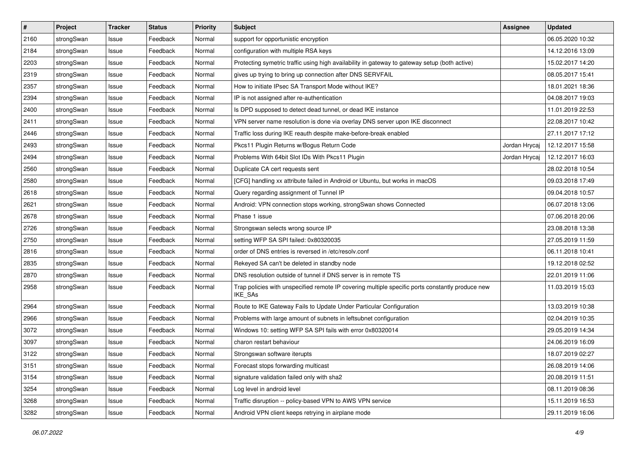| $\vert$ # | Project    | <b>Tracker</b> | <b>Status</b> | <b>Priority</b> | <b>Subject</b>                                                                                              | Assignee      | <b>Updated</b>   |
|-----------|------------|----------------|---------------|-----------------|-------------------------------------------------------------------------------------------------------------|---------------|------------------|
| 2160      | strongSwan | Issue          | Feedback      | Normal          | support for opportunistic encryption                                                                        |               | 06.05.2020 10:32 |
| 2184      | strongSwan | Issue          | Feedback      | Normal          | configuration with multiple RSA keys                                                                        |               | 14.12.2016 13:09 |
| 2203      | strongSwan | Issue          | Feedback      | Normal          | Protecting symetric traffic using high availability in gateway to gateway setup (both active)               |               | 15.02.2017 14:20 |
| 2319      | strongSwan | Issue          | Feedback      | Normal          | gives up trying to bring up connection after DNS SERVFAIL                                                   |               | 08.05.2017 15:41 |
| 2357      | strongSwan | Issue          | Feedback      | Normal          | How to initiate IPsec SA Transport Mode without IKE?                                                        |               | 18.01.2021 18:36 |
| 2394      | strongSwan | Issue          | Feedback      | Normal          | IP is not assigned after re-authentication                                                                  |               | 04.08.2017 19:03 |
| 2400      | strongSwan | Issue          | Feedback      | Normal          | Is DPD supposed to detect dead tunnel, or dead IKE instance                                                 |               | 11.01.2019 22:53 |
| 2411      | strongSwan | Issue          | Feedback      | Normal          | VPN server name resolution is done via overlay DNS server upon IKE disconnect                               |               | 22.08.2017 10:42 |
| 2446      | strongSwan | Issue          | Feedback      | Normal          | Traffic loss during IKE reauth despite make-before-break enabled                                            |               | 27.11.2017 17:12 |
| 2493      | strongSwan | Issue          | Feedback      | Normal          | Pkcs11 Plugin Returns w/Bogus Return Code                                                                   | Jordan Hrycaj | 12.12.2017 15:58 |
| 2494      | strongSwan | Issue          | Feedback      | Normal          | Problems With 64bit Slot IDs With Pkcs11 Plugin                                                             | Jordan Hrycaj | 12.12.2017 16:03 |
| 2560      | strongSwan | Issue          | Feedback      | Normal          | Duplicate CA cert requests sent                                                                             |               | 28.02.2018 10:54 |
| 2580      | strongSwan | Issue          | Feedback      | Normal          | [CFG] handling xx attribute failed in Android or Ubuntu, but works in macOS                                 |               | 09.03.2018 17:49 |
| 2618      | strongSwan | Issue          | Feedback      | Normal          | Query regarding assignment of Tunnel IP                                                                     |               | 09.04.2018 10:57 |
| 2621      | strongSwan | Issue          | Feedback      | Normal          | Android: VPN connection stops working, strongSwan shows Connected                                           |               | 06.07.2018 13:06 |
| 2678      | strongSwan | Issue          | Feedback      | Normal          | Phase 1 issue                                                                                               |               | 07.06.2018 20:06 |
| 2726      | strongSwan | Issue          | Feedback      | Normal          | Strongswan selects wrong source IP                                                                          |               | 23.08.2018 13:38 |
| 2750      | strongSwan | Issue          | Feedback      | Normal          | setting WFP SA SPI failed: 0x80320035                                                                       |               | 27.05.2019 11:59 |
| 2816      | strongSwan | Issue          | Feedback      | Normal          | order of DNS entries is reversed in /etc/resolv.conf                                                        |               | 06.11.2018 10:41 |
| 2835      | strongSwan | Issue          | Feedback      | Normal          | Rekeyed SA can't be deleted in standby node                                                                 |               | 19.12.2018 02:52 |
| 2870      | strongSwan | Issue          | Feedback      | Normal          | DNS resolution outside of tunnel if DNS server is in remote TS                                              |               | 22.01.2019 11:06 |
| 2958      | strongSwan | Issue          | Feedback      | Normal          | Trap policies with unspecified remote IP covering multiple specific ports constantly produce new<br>IKE_SAs |               | 11.03.2019 15:03 |
| 2964      | strongSwan | Issue          | Feedback      | Normal          | Route to IKE Gateway Fails to Update Under Particular Configuration                                         |               | 13.03.2019 10:38 |
| 2966      | strongSwan | Issue          | Feedback      | Normal          | Problems with large amount of subnets in leftsubnet configuration                                           |               | 02.04.2019 10:35 |
| 3072      | strongSwan | Issue          | Feedback      | Normal          | Windows 10: setting WFP SA SPI fails with error 0x80320014                                                  |               | 29.05.2019 14:34 |
| 3097      | strongSwan | Issue          | Feedback      | Normal          | charon restart behaviour                                                                                    |               | 24.06.2019 16:09 |
| 3122      | strongSwan | Issue          | Feedback      | Normal          | Strongswan software iterupts                                                                                |               | 18.07.2019 02:27 |
| 3151      | strongSwan | Issue          | Feedback      | Normal          | Forecast stops forwarding multicast                                                                         |               | 26.08.2019 14:06 |
| 3154      | strongSwan | Issue          | Feedback      | Normal          | signature validation failed only with sha2                                                                  |               | 20.08.2019 11:51 |
| 3254      | strongSwan | Issue          | Feedback      | Normal          | Log level in android level                                                                                  |               | 08.11.2019 08:36 |
| 3268      | strongSwan | Issue          | Feedback      | Normal          | Traffic disruption -- policy-based VPN to AWS VPN service                                                   |               | 15.11.2019 16:53 |
| 3282      | strongSwan | Issue          | Feedback      | Normal          | Android VPN client keeps retrying in airplane mode                                                          |               | 29.11.2019 16:06 |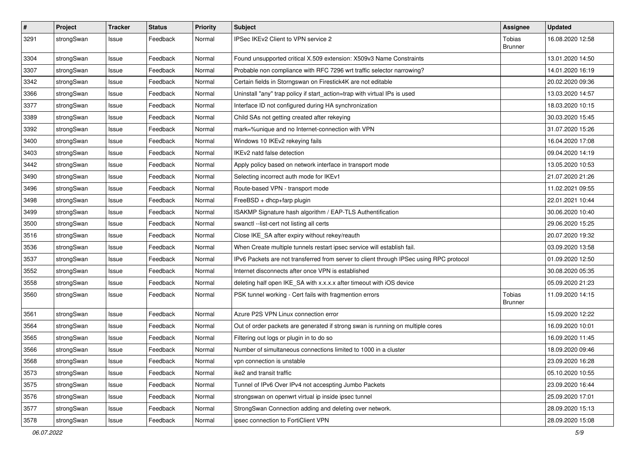| $\pmb{\#}$ | Project    | <b>Tracker</b> | <b>Status</b> | <b>Priority</b> | <b>Subject</b>                                                                          | Assignee                 | <b>Updated</b>   |
|------------|------------|----------------|---------------|-----------------|-----------------------------------------------------------------------------------------|--------------------------|------------------|
| 3291       | strongSwan | Issue          | Feedback      | Normal          | IPSec IKEv2 Client to VPN service 2                                                     | Tobias<br><b>Brunner</b> | 16.08.2020 12:58 |
| 3304       | strongSwan | Issue          | Feedback      | Normal          | Found unsupported critical X.509 extension: X509v3 Name Constraints                     |                          | 13.01.2020 14:50 |
| 3307       | strongSwan | Issue          | Feedback      | Normal          | Probable non compliance with RFC 7296 wrt traffic selector narrowing?                   |                          | 14.01.2020 16:19 |
| 3342       | strongSwan | Issue          | Feedback      | Normal          | Certain fields in Storngswan on Firestick4K are not editable                            |                          | 20.02.2020 09:36 |
| 3366       | strongSwan | Issue          | Feedback      | Normal          | Uninstall "any" trap policy if start_action=trap with virtual IPs is used               |                          | 13.03.2020 14:57 |
| 3377       | strongSwan | Issue          | Feedback      | Normal          | Interface ID not configured during HA synchronization                                   |                          | 18.03.2020 10:15 |
| 3389       | strongSwan | Issue          | Feedback      | Normal          | Child SAs not getting created after rekeying                                            |                          | 30.03.2020 15:45 |
| 3392       | strongSwan | Issue          | Feedback      | Normal          | mark=%unique and no Internet-connection with VPN                                        |                          | 31.07.2020 15:26 |
| 3400       | strongSwan | lssue          | Feedback      | Normal          | Windows 10 IKEv2 rekeying fails                                                         |                          | 16.04.2020 17:08 |
| 3403       | strongSwan | Issue          | Feedback      | Normal          | IKEv2 natd false detection                                                              |                          | 09.04.2020 14:19 |
| 3442       | strongSwan | Issue          | Feedback      | Normal          | Apply policy based on network interface in transport mode                               |                          | 13.05.2020 10:53 |
| 3490       | strongSwan | Issue          | Feedback      | Normal          | Selecting incorrect auth mode for IKEv1                                                 |                          | 21.07.2020 21:26 |
| 3496       | strongSwan | Issue          | Feedback      | Normal          | Route-based VPN - transport mode                                                        |                          | 11.02.2021 09:55 |
| 3498       | strongSwan | Issue          | Feedback      | Normal          | FreeBSD + dhcp+farp plugin                                                              |                          | 22.01.2021 10:44 |
| 3499       | strongSwan | Issue          | Feedback      | Normal          | ISAKMP Signature hash algorithm / EAP-TLS Authentification                              |                          | 30.06.2020 10:40 |
| 3500       | strongSwan | Issue          | Feedback      | Normal          | swanctl --list-cert not listing all certs                                               |                          | 29.06.2020 15:25 |
| 3516       | strongSwan | Issue          | Feedback      | Normal          | Close IKE_SA after expiry without rekey/reauth                                          |                          | 20.07.2020 19:32 |
| 3536       | strongSwan | lssue          | Feedback      | Normal          | When Create multiple tunnels restart ipsec service will establish fail.                 |                          | 03.09.2020 13:58 |
| 3537       | strongSwan | Issue          | Feedback      | Normal          | IPv6 Packets are not transferred from server to client through IPSec using RPC protocol |                          | 01.09.2020 12:50 |
| 3552       | strongSwan | Issue          | Feedback      | Normal          | Internet disconnects after once VPN is established                                      |                          | 30.08.2020 05:35 |
| 3558       | strongSwan | Issue          | Feedback      | Normal          | deleting half open IKE_SA with x.x.x.x after timeout with iOS device                    |                          | 05.09.2020 21:23 |
| 3560       | strongSwan | Issue          | Feedback      | Normal          | PSK tunnel working - Cert fails with fragmention errors                                 | Tobias<br><b>Brunner</b> | 11.09.2020 14:15 |
| 3561       | strongSwan | Issue          | Feedback      | Normal          | Azure P2S VPN Linux connection error                                                    |                          | 15.09.2020 12:22 |
| 3564       | strongSwan | Issue          | Feedback      | Normal          | Out of order packets are generated if strong swan is running on multiple cores          |                          | 16.09.2020 10:01 |
| 3565       | strongSwan | Issue          | Feedback      | Normal          | Filtering out logs or plugin in to do so                                                |                          | 16.09.2020 11:45 |
| 3566       | strongSwan | Issue          | Feedback      | Normal          | Number of simultaneous connections limited to 1000 in a cluster                         |                          | 18.09.2020 09:46 |
| 3568       | strongSwan | Issue          | Feedback      | Normal          | vpn connection is unstable                                                              |                          | 23.09.2020 16:28 |
| 3573       | strongSwan | Issue          | Feedback      | Normal          | ike2 and transit traffic                                                                |                          | 05.10.2020 10:55 |
| 3575       | strongSwan | Issue          | Feedback      | Normal          | Tunnel of IPv6 Over IPv4 not accespting Jumbo Packets                                   |                          | 23.09.2020 16:44 |
| 3576       | strongSwan | Issue          | Feedback      | Normal          | strongswan on openwrt virtual ip inside ipsec tunnel                                    |                          | 25.09.2020 17:01 |
| 3577       | strongSwan | Issue          | Feedback      | Normal          | StrongSwan Connection adding and deleting over network.                                 |                          | 28.09.2020 15:13 |
| 3578       | strongSwan | Issue          | Feedback      | Normal          | ipsec connection to FortiClient VPN                                                     |                          | 28.09.2020 15:08 |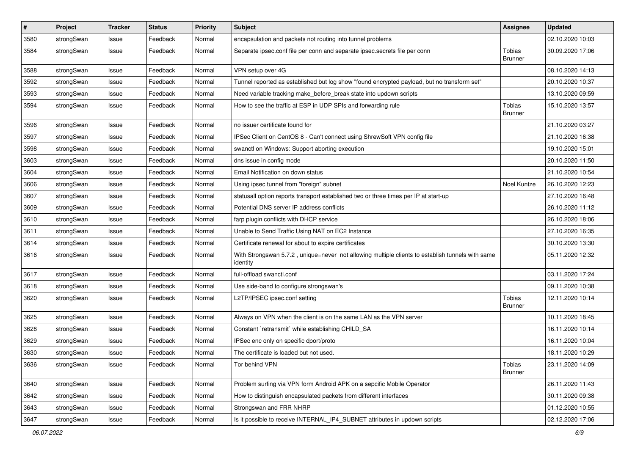| $\pmb{\#}$ | Project    | <b>Tracker</b> | <b>Status</b> | <b>Priority</b> | <b>Subject</b>                                                                                               | Assignee                 | <b>Updated</b>   |
|------------|------------|----------------|---------------|-----------------|--------------------------------------------------------------------------------------------------------------|--------------------------|------------------|
| 3580       | strongSwan | Issue          | Feedback      | Normal          | encapsulation and packets not routing into tunnel problems                                                   |                          | 02.10.2020 10:03 |
| 3584       | strongSwan | Issue          | Feedback      | Normal          | Separate ipsec.conf file per conn and separate ipsec.secrets file per conn                                   | Tobias<br><b>Brunner</b> | 30.09.2020 17:06 |
| 3588       | strongSwan | Issue          | Feedback      | Normal          | VPN setup over 4G                                                                                            |                          | 08.10.2020 14:13 |
| 3592       | strongSwan | Issue          | Feedback      | Normal          | Tunnel reported as established but log show "found encrypted payload, but no transform set"                  |                          | 20.10.2020 10:37 |
| 3593       | strongSwan | Issue          | Feedback      | Normal          | Need variable tracking make_before_break state into updown scripts                                           |                          | 13.10.2020 09:59 |
| 3594       | strongSwan | Issue          | Feedback      | Normal          | How to see the traffic at ESP in UDP SPIs and forwarding rule                                                | Tobias<br><b>Brunner</b> | 15.10.2020 13:57 |
| 3596       | strongSwan | Issue          | Feedback      | Normal          | no issuer certificate found for                                                                              |                          | 21.10.2020 03:27 |
| 3597       | strongSwan | Issue          | Feedback      | Normal          | IPSec Client on CentOS 8 - Can't connect using ShrewSoft VPN config file                                     |                          | 21.10.2020 16:38 |
| 3598       | strongSwan | Issue          | Feedback      | Normal          | swanctl on Windows: Support aborting execution                                                               |                          | 19.10.2020 15:01 |
| 3603       | strongSwan | Issue          | Feedback      | Normal          | dns issue in config mode                                                                                     |                          | 20.10.2020 11:50 |
| 3604       | strongSwan | lssue          | Feedback      | Normal          | Email Notification on down status                                                                            |                          | 21.10.2020 10:54 |
| 3606       | strongSwan | Issue          | Feedback      | Normal          | Using ipsec tunnel from "foreign" subnet                                                                     | Noel Kuntze              | 26.10.2020 12:23 |
| 3607       | strongSwan | Issue          | Feedback      | Normal          | statusall option reports transport established two or three times per IP at start-up                         |                          | 27.10.2020 16:48 |
| 3609       | strongSwan | Issue          | Feedback      | Normal          | Potential DNS server IP address conflicts                                                                    |                          | 26.10.2020 11:12 |
| 3610       | strongSwan | Issue          | Feedback      | Normal          | farp plugin conflicts with DHCP service                                                                      |                          | 26.10.2020 18:06 |
| 3611       | strongSwan | Issue          | Feedback      | Normal          | Unable to Send Traffic Using NAT on EC2 Instance                                                             |                          | 27.10.2020 16:35 |
| 3614       | strongSwan | Issue          | Feedback      | Normal          | Certificate renewal for about to expire certificates                                                         |                          | 30.10.2020 13:30 |
| 3616       | strongSwan | Issue          | Feedback      | Normal          | With Strongswan 5.7.2, unique=never not allowing multiple clients to establish tunnels with same<br>identity |                          | 05.11.2020 12:32 |
| 3617       | strongSwan | Issue          | Feedback      | Normal          | full-offload swanctl.conf                                                                                    |                          | 03.11.2020 17:24 |
| 3618       | strongSwan | Issue          | Feedback      | Normal          | Use side-band to configure strongswan's                                                                      |                          | 09.11.2020 10:38 |
| 3620       | strongSwan | Issue          | Feedback      | Normal          | L2TP/IPSEC ipsec.conf setting                                                                                | Tobias<br><b>Brunner</b> | 12.11.2020 10:14 |
| 3625       | strongSwan | Issue          | Feedback      | Normal          | Always on VPN when the client is on the same LAN as the VPN server                                           |                          | 10.11.2020 18:45 |
| 3628       | strongSwan | Issue          | Feedback      | Normal          | Constant `retransmit` while establishing CHILD_SA                                                            |                          | 16.11.2020 10:14 |
| 3629       | strongSwan | Issue          | Feedback      | Normal          | IPSec enc only on specific dport/proto                                                                       |                          | 16.11.2020 10:04 |
| 3630       | strongSwan | Issue          | Feedback      | Normal          | The certificate is loaded but not used.                                                                      |                          | 18.11.2020 10:29 |
| 3636       | strongSwan | Issue          | Feedback      | Normal          | Tor behind VPN                                                                                               | Tobias<br><b>Brunner</b> | 23.11.2020 14:09 |
| 3640       | strongSwan | Issue          | Feedback      | Normal          | Problem surfing via VPN form Android APK on a sepcific Mobile Operator                                       |                          | 26.11.2020 11:43 |
| 3642       | strongSwan | Issue          | Feedback      | Normal          | How to distinguish encapsulated packets from different interfaces                                            |                          | 30.11.2020 09:38 |
| 3643       | strongSwan | Issue          | Feedback      | Normal          | Strongswan and FRR NHRP                                                                                      |                          | 01.12.2020 10:55 |
| 3647       | strongSwan | Issue          | Feedback      | Normal          | Is it possible to receive INTERNAL_IP4_SUBNET attributes in updown scripts                                   |                          | 02.12.2020 17:06 |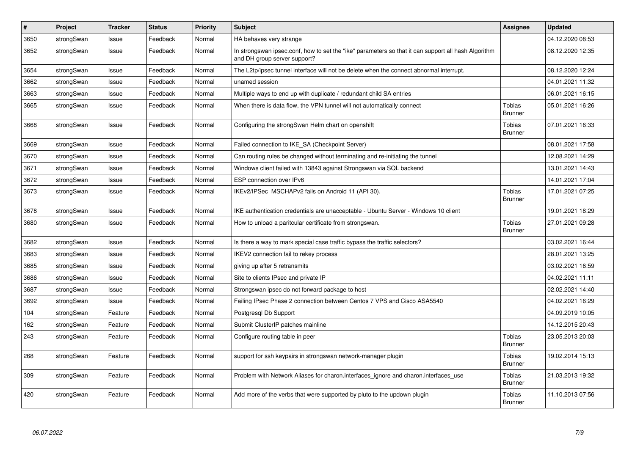| #    | Project    | <b>Tracker</b> | <b>Status</b> | <b>Priority</b> | <b>Subject</b>                                                                                                                      | <b>Assignee</b>                 | <b>Updated</b>   |
|------|------------|----------------|---------------|-----------------|-------------------------------------------------------------------------------------------------------------------------------------|---------------------------------|------------------|
| 3650 | strongSwan | Issue          | Feedback      | Normal          | HA behaves very strange                                                                                                             |                                 | 04.12.2020 08:53 |
| 3652 | strongSwan | Issue          | Feedback      | Normal          | In strongswan ipsec.conf, how to set the "ike" parameters so that it can support all hash Algorithm<br>and DH group server support? |                                 | 08.12.2020 12:35 |
| 3654 | strongSwan | Issue          | Feedback      | Normal          | The L2tp/ipsec tunnel interface will not be delete when the connect abnormal interrupt.                                             |                                 | 08.12.2020 12:24 |
| 3662 | strongSwan | Issue          | Feedback      | Normal          | unamed session                                                                                                                      |                                 | 04.01.2021 11:32 |
| 3663 | strongSwan | Issue          | Feedback      | Normal          | Multiple ways to end up with duplicate / redundant child SA entries                                                                 |                                 | 06.01.2021 16:15 |
| 3665 | strongSwan | Issue          | Feedback      | Normal          | When there is data flow, the VPN tunnel will not automatically connect                                                              | <b>Tobias</b><br><b>Brunner</b> | 05.01.2021 16:26 |
| 3668 | strongSwan | Issue          | Feedback      | Normal          | Configuring the strongSwan Helm chart on openshift                                                                                  | Tobias<br><b>Brunner</b>        | 07.01.2021 16:33 |
| 3669 | strongSwan | Issue          | Feedback      | Normal          | Failed connection to IKE_SA (Checkpoint Server)                                                                                     |                                 | 08.01.2021 17:58 |
| 3670 | strongSwan | Issue          | Feedback      | Normal          | Can routing rules be changed without terminating and re-initiating the tunnel                                                       |                                 | 12.08.2021 14:29 |
| 3671 | strongSwan | Issue          | Feedback      | Normal          | Windows client failed with 13843 against Strongswan via SQL backend                                                                 |                                 | 13.01.2021 14:43 |
| 3672 | strongSwan | Issue          | Feedback      | Normal          | ESP connection over IPv6                                                                                                            |                                 | 14.01.2021 17:04 |
| 3673 | strongSwan | Issue          | Feedback      | Normal          | IKEv2/IPSec MSCHAPv2 fails on Android 11 (API 30).                                                                                  | <b>Tobias</b><br><b>Brunner</b> | 17.01.2021 07:25 |
| 3678 | strongSwan | Issue          | Feedback      | Normal          | IKE authentication credentials are unacceptable - Ubuntu Server - Windows 10 client                                                 |                                 | 19.01.2021 18:29 |
| 3680 | strongSwan | Issue          | Feedback      | Normal          | How to unload a paritcular certificate from strongswan.                                                                             | <b>Tobias</b><br><b>Brunner</b> | 27.01.2021 09:28 |
| 3682 | strongSwan | Issue          | Feedback      | Normal          | Is there a way to mark special case traffic bypass the traffic selectors?                                                           |                                 | 03.02.2021 16:44 |
| 3683 | strongSwan | Issue          | Feedback      | Normal          | IKEV2 connection fail to rekey process                                                                                              |                                 | 28.01.2021 13:25 |
| 3685 | strongSwan | Issue          | Feedback      | Normal          | giving up after 5 retransmits                                                                                                       |                                 | 03.02.2021 16:59 |
| 3686 | strongSwan | Issue          | Feedback      | Normal          | Site to clients IPsec and private IP                                                                                                |                                 | 04.02.2021 11:11 |
| 3687 | strongSwan | Issue          | Feedback      | Normal          | Strongswan ipsec do not forward package to host                                                                                     |                                 | 02.02.2021 14:40 |
| 3692 | strongSwan | Issue          | Feedback      | Normal          | Failing IPsec Phase 2 connection between Centos 7 VPS and Cisco ASA5540                                                             |                                 | 04.02.2021 16:29 |
| 104  | strongSwan | Feature        | Feedback      | Normal          | Postgresgl Db Support                                                                                                               |                                 | 04.09.2019 10:05 |
| 162  | strongSwan | Feature        | Feedback      | Normal          | Submit ClusterIP patches mainline                                                                                                   |                                 | 14.12.2015 20:43 |
| 243  | strongSwan | Feature        | Feedback      | Normal          | Configure routing table in peer                                                                                                     | Tobias<br><b>Brunner</b>        | 23.05.2013 20:03 |
| 268  | strongSwan | Feature        | Feedback      | Normal          | support for ssh keypairs in strongswan network-manager plugin                                                                       | Tobias<br><b>Brunner</b>        | 19.02.2014 15:13 |
| 309  | strongSwan | Feature        | Feedback      | Normal          | Problem with Network Aliases for charon.interfaces_ignore and charon.interfaces_use                                                 | <b>Tobias</b><br><b>Brunner</b> | 21.03.2013 19:32 |
| 420  | strongSwan | Feature        | Feedback      | Normal          | Add more of the verbs that were supported by pluto to the updown plugin                                                             | Tobias<br><b>Brunner</b>        | 11.10.2013 07:56 |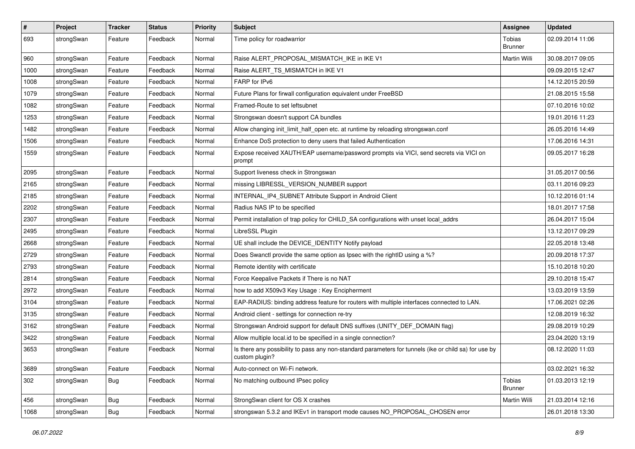| #    | Project    | <b>Tracker</b> | <b>Status</b> | <b>Priority</b> | <b>Subject</b>                                                                                                          | <b>Assignee</b>          | <b>Updated</b>   |
|------|------------|----------------|---------------|-----------------|-------------------------------------------------------------------------------------------------------------------------|--------------------------|------------------|
| 693  | strongSwan | Feature        | Feedback      | Normal          | Time policy for roadwarrior                                                                                             | Tobias<br><b>Brunner</b> | 02.09.2014 11:06 |
| 960  | strongSwan | Feature        | Feedback      | Normal          | Raise ALERT PROPOSAL MISMATCH IKE in IKE V1                                                                             | Martin Willi             | 30.08.2017 09:05 |
| 1000 | strongSwan | Feature        | Feedback      | Normal          | Raise ALERT TS MISMATCH in IKE V1                                                                                       |                          | 09.09.2015 12:47 |
| 1008 | strongSwan | Feature        | Feedback      | Normal          | FARP for IPv6                                                                                                           |                          | 14.12.2015 20:59 |
| 1079 | strongSwan | Feature        | Feedback      | Normal          | Future Plans for firwall configuration equivalent under FreeBSD                                                         |                          | 21.08.2015 15:58 |
| 1082 | strongSwan | Feature        | Feedback      | Normal          | Framed-Route to set leftsubnet                                                                                          |                          | 07.10.2016 10:02 |
| 1253 | strongSwan | Feature        | Feedback      | Normal          | Strongswan doesn't support CA bundles                                                                                   |                          | 19.01.2016 11:23 |
| 1482 | strongSwan | Feature        | Feedback      | Normal          | Allow changing init_limit_half_open etc. at runtime by reloading strongswan.conf                                        |                          | 26.05.2016 14:49 |
| 1506 | strongSwan | Feature        | Feedback      | Normal          | Enhance DoS protection to deny users that failed Authentication                                                         |                          | 17.06.2016 14:31 |
| 1559 | strongSwan | Feature        | Feedback      | Normal          | Expose received XAUTH/EAP username/password prompts via VICI, send secrets via VICI on<br>prompt                        |                          | 09.05.2017 16:28 |
| 2095 | strongSwan | Feature        | Feedback      | Normal          | Support liveness check in Strongswan                                                                                    |                          | 31.05.2017 00:56 |
| 2165 | strongSwan | Feature        | Feedback      | Normal          | missing LIBRESSL_VERSION_NUMBER support                                                                                 |                          | 03.11.2016 09:23 |
| 2185 | strongSwan | Feature        | Feedback      | Normal          | INTERNAL_IP4_SUBNET Attribute Support in Android Client                                                                 |                          | 10.12.2016 01:14 |
| 2202 | strongSwan | Feature        | Feedback      | Normal          | Radius NAS IP to be specified                                                                                           |                          | 18.01.2017 17:58 |
| 2307 | strongSwan | Feature        | Feedback      | Normal          | Permit installation of trap policy for CHILD_SA configurations with unset local_addrs                                   |                          | 26.04.2017 15:04 |
| 2495 | strongSwan | Feature        | Feedback      | Normal          | LibreSSL Plugin                                                                                                         |                          | 13.12.2017 09:29 |
| 2668 | strongSwan | Feature        | Feedback      | Normal          | UE shall include the DEVICE IDENTITY Notify payload                                                                     |                          | 22.05.2018 13:48 |
| 2729 | strongSwan | Feature        | Feedback      | Normal          | Does Swanctl provide the same option as Ipsec with the rightID using a %?                                               |                          | 20.09.2018 17:37 |
| 2793 | strongSwan | Feature        | Feedback      | Normal          | Remote identity with certificate                                                                                        |                          | 15.10.2018 10:20 |
| 2814 | strongSwan | Feature        | Feedback      | Normal          | Force Keepalive Packets if There is no NAT                                                                              |                          | 29.10.2018 15:47 |
| 2972 | strongSwan | Feature        | Feedback      | Normal          | how to add X509v3 Key Usage: Key Encipherment                                                                           |                          | 13.03.2019 13:59 |
| 3104 | strongSwan | Feature        | Feedback      | Normal          | EAP-RADIUS: binding address feature for routers with multiple interfaces connected to LAN.                              |                          | 17.06.2021 02:26 |
| 3135 | strongSwan | Feature        | Feedback      | Normal          | Android client - settings for connection re-try                                                                         |                          | 12.08.2019 16:32 |
| 3162 | strongSwan | Feature        | Feedback      | Normal          | Strongswan Android support for default DNS suffixes (UNITY DEF DOMAIN flag)                                             |                          | 29.08.2019 10:29 |
| 3422 | strongSwan | Feature        | Feedback      | Normal          | Allow multiple local.id to be specified in a single connection?                                                         |                          | 23.04.2020 13:19 |
| 3653 | strongSwan | Feature        | Feedback      | Normal          | Is there any possibility to pass any non-standard parameters for tunnels (ike or child sa) for use by<br>custom plugin? |                          | 08.12.2020 11:03 |
| 3689 | strongSwan | Feature        | Feedback      | Normal          | Auto-connect on Wi-Fi network.                                                                                          |                          | 03.02.2021 16:32 |
| 302  | strongSwan | <b>Bug</b>     | Feedback      | Normal          | No matching outbound IPsec policy                                                                                       | Tobias<br><b>Brunner</b> | 01.03.2013 12:19 |
| 456  | strongSwan | <b>Bug</b>     | Feedback      | Normal          | StrongSwan client for OS X crashes                                                                                      | Martin Willi             | 21.03.2014 12:16 |
| 1068 | strongSwan | <b>Bug</b>     | Feedback      | Normal          | strongswan 5.3.2 and IKEv1 in transport mode causes NO_PROPOSAL_CHOSEN error                                            |                          | 26.01.2018 13:30 |